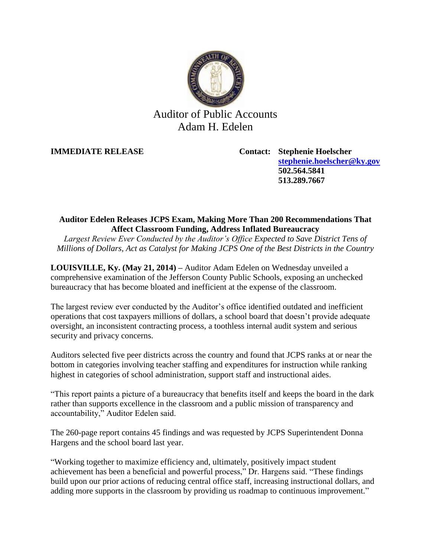

# Auditor of Public Accounts Adam H. Edelen

**IMMEDIATE RELEASE Contact: Stephenie Hoelscher [stephenie.hoelscher@ky.gov](mailto:stephenie.hoelscher@ky.gov) 502.564.5841 513.289.7667**

# **Auditor Edelen Releases JCPS Exam, Making More Than 200 Recommendations That Affect Classroom Funding, Address Inflated Bureaucracy**

*Largest Review Ever Conducted by the Auditor's Office Expected to Save District Tens of Millions of Dollars, Act as Catalyst for Making JCPS One of the Best Districts in the Country*

**LOUISVILLE, Ky. (May 21, 2014) –** Auditor Adam Edelen on Wednesday unveiled a comprehensive examination of the Jefferson County Public Schools, exposing an unchecked bureaucracy that has become bloated and inefficient at the expense of the classroom.

The largest review ever conducted by the Auditor's office identified outdated and inefficient operations that cost taxpayers millions of dollars, a school board that doesn't provide adequate oversight, an inconsistent contracting process, a toothless internal audit system and serious security and privacy concerns.

Auditors selected five peer districts across the country and found that JCPS ranks at or near the bottom in categories involving teacher staffing and expenditures for instruction while ranking highest in categories of school administration, support staff and instructional aides.

"This report paints a picture of a bureaucracy that benefits itself and keeps the board in the dark rather than supports excellence in the classroom and a public mission of transparency and accountability," Auditor Edelen said.

The 260-page report contains 45 findings and was requested by JCPS Superintendent Donna Hargens and the school board last year.

"Working together to maximize efficiency and, ultimately, positively impact student achievement has been a beneficial and powerful process," Dr. Hargens said. "These findings build upon our prior actions of reducing central office staff, increasing instructional dollars, and adding more supports in the classroom by providing us roadmap to continuous improvement."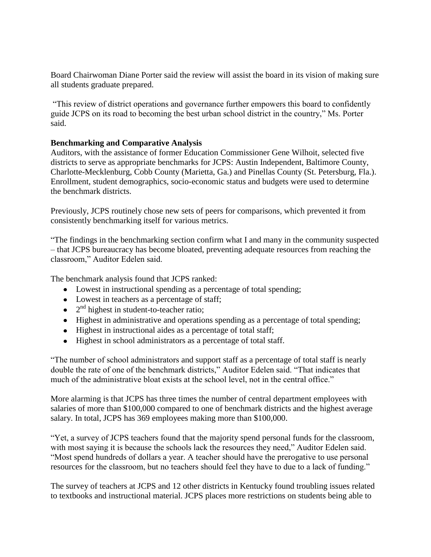Board Chairwoman Diane Porter said the review will assist the board in its vision of making sure all students graduate prepared.

"This review of district operations and governance further empowers this board to confidently guide JCPS on its road to becoming the best urban school district in the country," Ms. Porter said.

### **Benchmarking and Comparative Analysis**

Auditors, with the assistance of former Education Commissioner Gene Wilhoit, selected five districts to serve as appropriate benchmarks for JCPS: Austin Independent, Baltimore County, Charlotte-Mecklenburg, Cobb County (Marietta, Ga.) and Pinellas County (St. Petersburg, Fla.). Enrollment, student demographics, socio-economic status and budgets were used to determine the benchmark districts.

Previously, JCPS routinely chose new sets of peers for comparisons, which prevented it from consistently benchmarking itself for various metrics.

"The findings in the benchmarking section confirm what I and many in the community suspected – that JCPS bureaucracy has become bloated, preventing adequate resources from reaching the classroom," Auditor Edelen said.

The benchmark analysis found that JCPS ranked:

- Lowest in instructional spending as a percentage of total spending;
- Lowest in teachers as a percentage of staff;
- 2<sup>nd</sup> highest in student-to-teacher ratio;
- Highest in administrative and operations spending as a percentage of total spending;
- Highest in instructional aides as a percentage of total staff;
- Highest in school administrators as a percentage of total staff.

"The number of school administrators and support staff as a percentage of total staff is nearly double the rate of one of the benchmark districts," Auditor Edelen said. "That indicates that much of the administrative bloat exists at the school level, not in the central office."

More alarming is that JCPS has three times the number of central department employees with salaries of more than \$100,000 compared to one of benchmark districts and the highest average salary. In total, JCPS has 369 employees making more than \$100,000.

"Yet, a survey of JCPS teachers found that the majority spend personal funds for the classroom, with most saying it is because the schools lack the resources they need," Auditor Edelen said. "Most spend hundreds of dollars a year. A teacher should have the prerogative to use personal resources for the classroom, but no teachers should feel they have to due to a lack of funding."

The survey of teachers at JCPS and 12 other districts in Kentucky found troubling issues related to textbooks and instructional material. JCPS places more restrictions on students being able to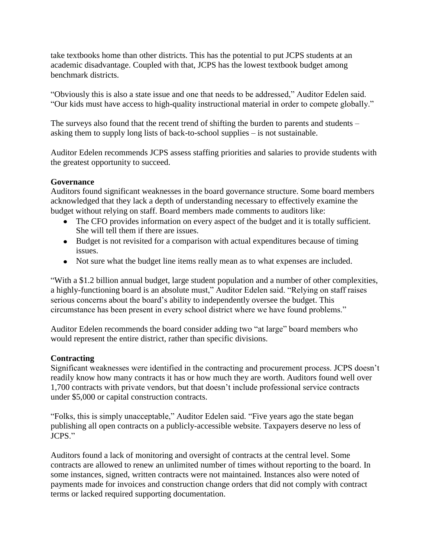take textbooks home than other districts. This has the potential to put JCPS students at an academic disadvantage. Coupled with that, JCPS has the lowest textbook budget among benchmark districts.

"Obviously this is also a state issue and one that needs to be addressed," Auditor Edelen said. "Our kids must have access to high-quality instructional material in order to compete globally."

The surveys also found that the recent trend of shifting the burden to parents and students – asking them to supply long lists of back-to-school supplies – is not sustainable.

Auditor Edelen recommends JCPS assess staffing priorities and salaries to provide students with the greatest opportunity to succeed.

## **Governance**

Auditors found significant weaknesses in the board governance structure. Some board members acknowledged that they lack a depth of understanding necessary to effectively examine the budget without relying on staff. Board members made comments to auditors like:

- The CFO provides information on every aspect of the budget and it is totally sufficient. She will tell them if there are issues.
- Budget is not revisited for a comparison with actual expenditures because of timing issues.
- Not sure what the budget line items really mean as to what expenses are included.

"With a \$1.2 billion annual budget, large student population and a number of other complexities, a highly-functioning board is an absolute must," Auditor Edelen said. "Relying on staff raises serious concerns about the board's ability to independently oversee the budget. This circumstance has been present in every school district where we have found problems."

Auditor Edelen recommends the board consider adding two "at large" board members who would represent the entire district, rather than specific divisions.

# **Contracting**

Significant weaknesses were identified in the contracting and procurement process. JCPS doesn't readily know how many contracts it has or how much they are worth. Auditors found well over 1,700 contracts with private vendors, but that doesn't include professional service contracts under \$5,000 or capital construction contracts.

"Folks, this is simply unacceptable," Auditor Edelen said. "Five years ago the state began publishing all open contracts on a publicly-accessible website. Taxpayers deserve no less of JCPS."

Auditors found a lack of monitoring and oversight of contracts at the central level. Some contracts are allowed to renew an unlimited number of times without reporting to the board. In some instances, signed, written contracts were not maintained. Instances also were noted of payments made for invoices and construction change orders that did not comply with contract terms or lacked required supporting documentation.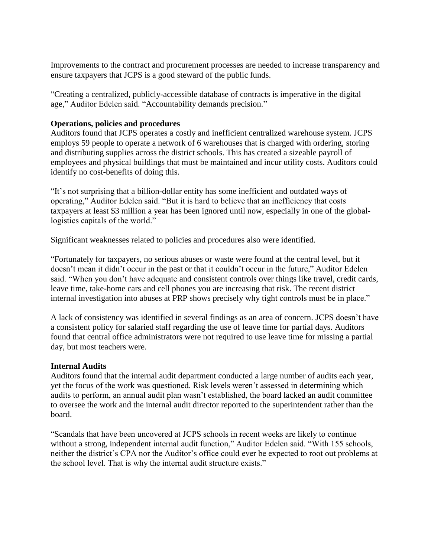Improvements to the contract and procurement processes are needed to increase transparency and ensure taxpayers that JCPS is a good steward of the public funds.

"Creating a centralized, publicly-accessible database of contracts is imperative in the digital age," Auditor Edelen said. "Accountability demands precision."

### **Operations, policies and procedures**

Auditors found that JCPS operates a costly and inefficient centralized warehouse system. JCPS employs 59 people to operate a network of 6 warehouses that is charged with ordering, storing and distributing supplies across the district schools. This has created a sizeable payroll of employees and physical buildings that must be maintained and incur utility costs. Auditors could identify no cost-benefits of doing this.

"It's not surprising that a billion-dollar entity has some inefficient and outdated ways of operating," Auditor Edelen said. "But it is hard to believe that an inefficiency that costs taxpayers at least \$3 million a year has been ignored until now, especially in one of the globallogistics capitals of the world."

Significant weaknesses related to policies and procedures also were identified.

"Fortunately for taxpayers, no serious abuses or waste were found at the central level, but it doesn't mean it didn't occur in the past or that it couldn't occur in the future," Auditor Edelen said. "When you don't have adequate and consistent controls over things like travel, credit cards, leave time, take-home cars and cell phones you are increasing that risk. The recent district internal investigation into abuses at PRP shows precisely why tight controls must be in place."

A lack of consistency was identified in several findings as an area of concern. JCPS doesn't have a consistent policy for salaried staff regarding the use of leave time for partial days. Auditors found that central office administrators were not required to use leave time for missing a partial day, but most teachers were.

### **Internal Audits**

Auditors found that the internal audit department conducted a large number of audits each year, yet the focus of the work was questioned. Risk levels weren't assessed in determining which audits to perform, an annual audit plan wasn't established, the board lacked an audit committee to oversee the work and the internal audit director reported to the superintendent rather than the board.

"Scandals that have been uncovered at JCPS schools in recent weeks are likely to continue without a strong, independent internal audit function," Auditor Edelen said. "With 155 schools, neither the district's CPA nor the Auditor's office could ever be expected to root out problems at the school level. That is why the internal audit structure exists."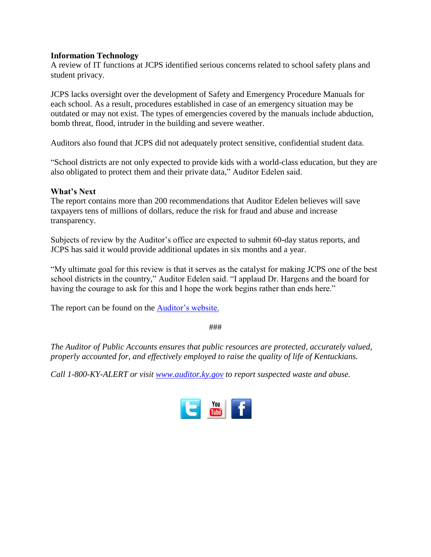### **Information Technology**

A review of IT functions at JCPS identified serious concerns related to school safety plans and student privacy.

JCPS lacks oversight over the development of Safety and Emergency Procedure Manuals for each school. As a result, procedures established in case of an emergency situation may be outdated or may not exist. The types of emergencies covered by the manuals include abduction, bomb threat, flood, intruder in the building and severe weather.

Auditors also found that JCPS did not adequately protect sensitive, confidential student data.

"School districts are not only expected to provide kids with a world-class education, but they are also obligated to protect them and their private data," Auditor Edelen said.

#### **What's Next**

The report contains more than 200 recommendations that Auditor Edelen believes will save taxpayers tens of millions of dollars, reduce the risk for fraud and abuse and increase transparency.

Subjects of review by the Auditor's office are expected to submit 60-day status reports, and JCPS has said it would provide additional updates in six months and a year.

"My ultimate goal for this review is that it serves as the catalyst for making JCPS one of the best school districts in the country," Auditor Edelen said. "I applaud Dr. Hargens and the board for having the courage to ask for this and I hope the work begins rather than ends here."

The report can be found on the **Auditor's website.** 

###

*The Auditor of Public Accounts ensures that public resources are protected, accurately valued, properly accounted for, and effectively employed to raise the quality of life of Kentuckians.*

*Call 1-800-KY-ALERT or visit [www.auditor.ky.gov](file:///C:/Users/ggiesler/AppData/Local/Microsoft/Windows/Temporary%20Internet%20Files/Content.Outlook/09FGQ5E5/www.auditor.ky.gov) to report suspected waste and abuse.*